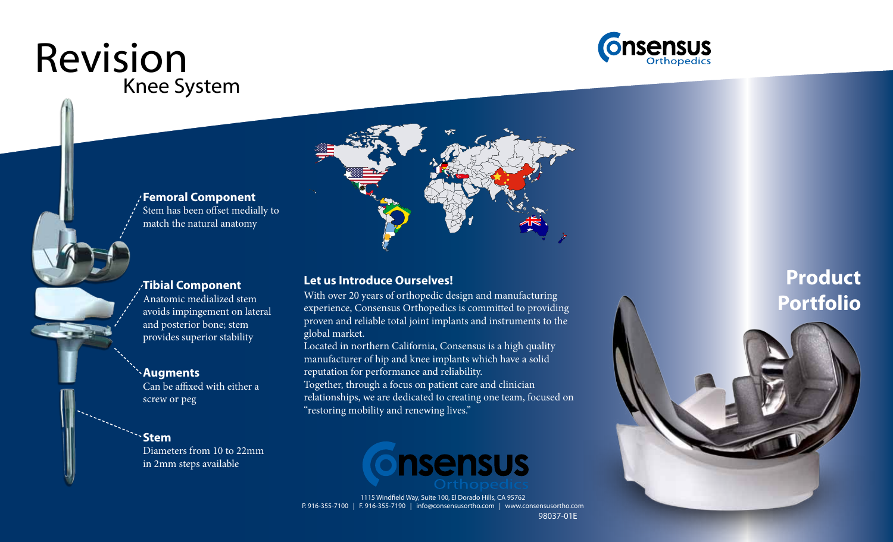# Knee System Revision





#### **Tibial Component**

Anatomic medialized stem avoids impingement on lateral and posterior bone; stem provides superior stability

#### **Augments** Can be affixed with either a screw or peg

**Stem** Diameters from 10 to 22mm in 2mm steps available

#### **Let us Introduce Ourselves!**

With over 20 years of orthopedic design and manufacturing experience, Consensus Orthopedics is committed to providing proven and reliable total joint implants and instruments to the global market.

Located in northern California, Consensus is a high quality manufacturer of hip and knee implants which have a solid reputation for performance and reliability. Together, through a focus on patient care and clinician

relationships, we are dedicated to creating one team, focused on "restoring mobility and renewing lives."



98037-01E 1115 Windfield Way, Suite 100, El Dorado Hills, CA 95762 P. 916-355-7100 | F. 916-355-7190 | info@consensusortho.com | www.consensusortho.com

### **Product Portfolio**